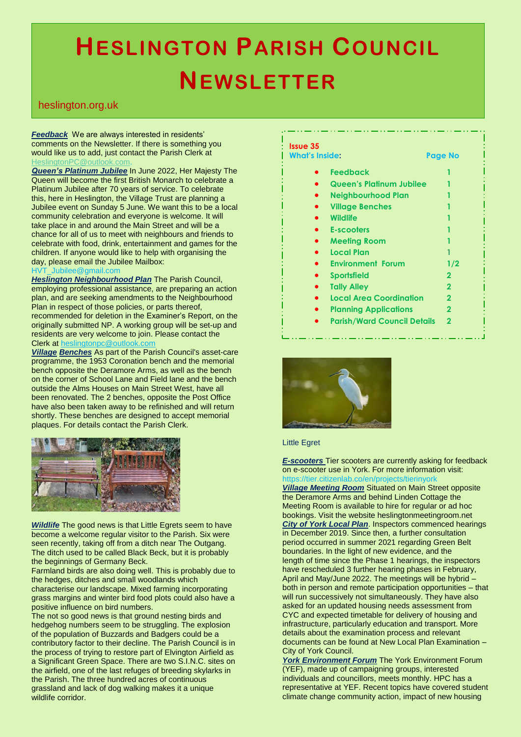## **HESLINGTON PARISH COUNCIL NEWSLETTER**

## heslington.org.uk

.

*Feedback* We are always interested in residents' comments on the Newsletter. If there is something you would like us to add, just contact the Parish Clerk at [HeslingtonPC@outlook.com.](mailto:HeslingtonPC@outlook.com)

*Queen's Platinum Jubilee* In June 2022, Her Majesty The Queen will become the first British Monarch to celebrate a Platinum Jubilee after 70 years of service. To celebrate this, here in Heslington, the Village Trust are planning a Jubilee event on Sunday 5 June. We want this to be a local community celebration and everyone is welcome. It will take place in and around the Main Street and will be a chance for all of us to meet with neighbours and friends to celebrate with food, drink, entertainment and games for the children. If anyone would like to help with organising the day, please email the Jubilee Mailbox: HVT\_Jubilee@gmail.com

*Heslington Neighbourhood Plan* The Parish Council, employing professional assistance, are preparing an action plan, and are seeking amendments to the Neighbourhood Plan in respect of those policies, or parts thereof, recommended for deletion in the Examiner's Report, on the originally submitted NP. A working group will be set-up and residents are very welcome to join. Please contact the Clerk at [heslingtonpc@outlook.com](mailto:heslingtonpc@outlook.com)

*Village Benches* As part of the Parish Council's asset-care programme, the 1953 Coronation bench and the memorial bench opposite the Deramore Arms, as well as the bench on the corner of School Lane and Field lane and the bench outside the Alms Houses on Main Street West, have all been renovated. The 2 benches, opposite the Post Office have also been taken away to be refinished and will return shortly. These benches are designed to accept memorial plaques. For details contact the Parish Clerk.



*Wildlife* The good news is that Little Egrets seem to have become a welcome regular visitor to the Parish. Six were seen recently, taking off from a ditch near The Outgang. The ditch used to be called Black Beck, but it is probably the beginnings of Germany Beck.

Farmland birds are also doing well. This is probably due to the hedges, ditches and small woodlands which characterise our landscape. Mixed farming incorporating grass margins and winter bird food plots could also have a positive influence on bird numbers.

The not so good news is that ground nesting birds and hedgehog numbers seem to be struggling. The explosion of the population of Buzzards and Badgers could be a contributory factor to their decline. The Parish Council is in the process of trying to restore part of Elvington Airfield as a Significant Green Space. There are two S.I.N.C. sites on the airfield, one of the last refuges of breeding skylarks in the Parish. The three hundred acres of continuous grassland and lack of dog walking makes it a unique wildlife corridor.

## **Issue 35**

**What's Inside: Page No**

- **Feedback 1**
- **Queen's Platinum Jubilee 1**
- **Neighbourhood Plan 1**
- **Village Benches 1**
- **Wildlife 1**
- **E-scooters** 
	- **Meeting Room 1 Local Plan 1**
- **Environment Forum 1/2**
- **Sportsfield 2**
- **Tally Alley 2**
- **Local Area Coordination 2**
- **Planning Applications 2**
- **Parish/Ward Council Details 2**



## Little Egret

*E-scooters* Tier scooters are currently asking for feedback on e-scooter use in York. For more information visit: https://tier.citizenlab.co/en/projects/tierinyorl

*Village Meeting Room* Situated on Main Street opposite the Deramore Arms and behind Linden Cottage the Meeting Room is available to hire for regular or ad hoc bookings. Visit the website heslingtonmeetingroom.net *City of York Local Plan*. Inspectors commenced hearings in December 2019. Since then, a further consultation period occurred in summer 2021 regarding Green Belt boundaries. In the light of new evidence, and the length of time since the Phase 1 hearings, the inspectors have rescheduled 3 further hearing phases in February, April and May/June 2022. The meetings will be hybrid – both in person and remote participation opportunities – that will run successively not simultaneously. They have also asked for an updated housing needs assessment from CYC and expected timetable for delivery of housing and infrastructure, particularly education and transport. More details about the examination process and relevant documents can be found at New Local Plan Examination – City of York Council.

*York Environment Forum* The York Environment Forum (YEF), made up of campaigning groups, interested individuals and councillors, meets monthly. HPC has a representative at YEF. Recent topics have covered student climate change community action, impact of new housing